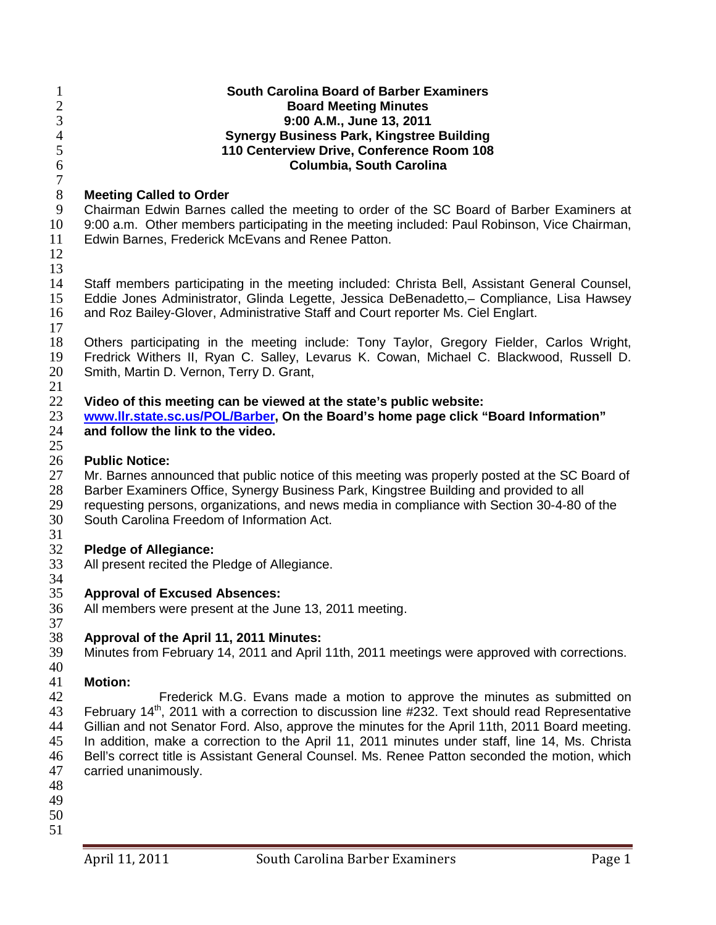| 1<br>$\mathbf{2}$   | <b>South Carolina Board of Barber Examiners</b><br><b>Board Meeting Minutes</b>                                                                                                                   |
|---------------------|---------------------------------------------------------------------------------------------------------------------------------------------------------------------------------------------------|
| 3                   | 9:00 A.M., June 13, 2011                                                                                                                                                                          |
| $\overline{4}$<br>5 | <b>Synergy Business Park, Kingstree Building</b><br>110 Centerview Drive, Conference Room 108                                                                                                     |
| 6                   | Columbia, South Carolina                                                                                                                                                                          |
| $\tau$              |                                                                                                                                                                                                   |
| $8\,$               | <b>Meeting Called to Order</b>                                                                                                                                                                    |
| 9                   | Chairman Edwin Barnes called the meeting to order of the SC Board of Barber Examiners at                                                                                                          |
| 10                  | 9:00 a.m. Other members participating in the meeting included: Paul Robinson, Vice Chairman,                                                                                                      |
| 11                  | Edwin Barnes, Frederick McEvans and Renee Patton.                                                                                                                                                 |
| 12                  |                                                                                                                                                                                                   |
| 13                  |                                                                                                                                                                                                   |
| 14                  | Staff members participating in the meeting included: Christa Bell, Assistant General Counsel,                                                                                                     |
| 15                  | Eddie Jones Administrator, Glinda Legette, Jessica DeBenadetto, - Compliance, Lisa Hawsey                                                                                                         |
| 16                  | and Roz Bailey-Glover, Administrative Staff and Court reporter Ms. Ciel Englart.                                                                                                                  |
| 17                  |                                                                                                                                                                                                   |
| 18<br>19            | Others participating in the meeting include: Tony Taylor, Gregory Fielder, Carlos Wright,<br>Fredrick Withers II, Ryan C. Salley, Levarus K. Cowan, Michael C. Blackwood, Russell D.              |
| 20                  | Smith, Martin D. Vernon, Terry D. Grant,                                                                                                                                                          |
| 21                  |                                                                                                                                                                                                   |
| 22                  | Video of this meeting can be viewed at the state's public website:                                                                                                                                |
| 23                  | www.llr.state.sc.us/POL/Barber, On the Board's home page click "Board Information"                                                                                                                |
| 24                  | and follow the link to the video.                                                                                                                                                                 |
| 25                  |                                                                                                                                                                                                   |
| 26                  | <b>Public Notice:</b>                                                                                                                                                                             |
| 27                  | Mr. Barnes announced that public notice of this meeting was properly posted at the SC Board of                                                                                                    |
| 28                  | Barber Examiners Office, Synergy Business Park, Kingstree Building and provided to all                                                                                                            |
| 29                  | requesting persons, organizations, and news media in compliance with Section 30-4-80 of the                                                                                                       |
| 30<br>31            | South Carolina Freedom of Information Act.                                                                                                                                                        |
| 32                  | <b>Pledge of Allegiance:</b>                                                                                                                                                                      |
| 33                  | All present recited the Pledge of Allegiance.                                                                                                                                                     |
| 34                  |                                                                                                                                                                                                   |
| 35                  | <b>Approval of Excused Absences:</b>                                                                                                                                                              |
| 36                  | All members were present at the June 13, 2011 meeting.                                                                                                                                            |
| 37                  |                                                                                                                                                                                                   |
| 38                  | Approval of the April 11, 2011 Minutes:                                                                                                                                                           |
| 39                  | Minutes from February 14, 2011 and April 11th, 2011 meetings were approved with corrections.                                                                                                      |
| 40                  |                                                                                                                                                                                                   |
| 41                  | <b>Motion:</b>                                                                                                                                                                                    |
| 42                  | Frederick M.G. Evans made a motion to approve the minutes as submitted on                                                                                                                         |
| 43<br>44            | February 14th, 2011 with a correction to discussion line #232. Text should read Representative<br>Gillian and not Senator Ford. Also, approve the minutes for the April 11th, 2011 Board meeting. |
| 45                  | In addition, make a correction to the April 11, 2011 minutes under staff, line 14, Ms. Christa                                                                                                    |
| 46                  | Bell's correct title is Assistant General Counsel. Ms. Renee Patton seconded the motion, which                                                                                                    |
| 47                  | carried unanimously.                                                                                                                                                                              |
| 48                  |                                                                                                                                                                                                   |
| 49                  |                                                                                                                                                                                                   |
| 50                  |                                                                                                                                                                                                   |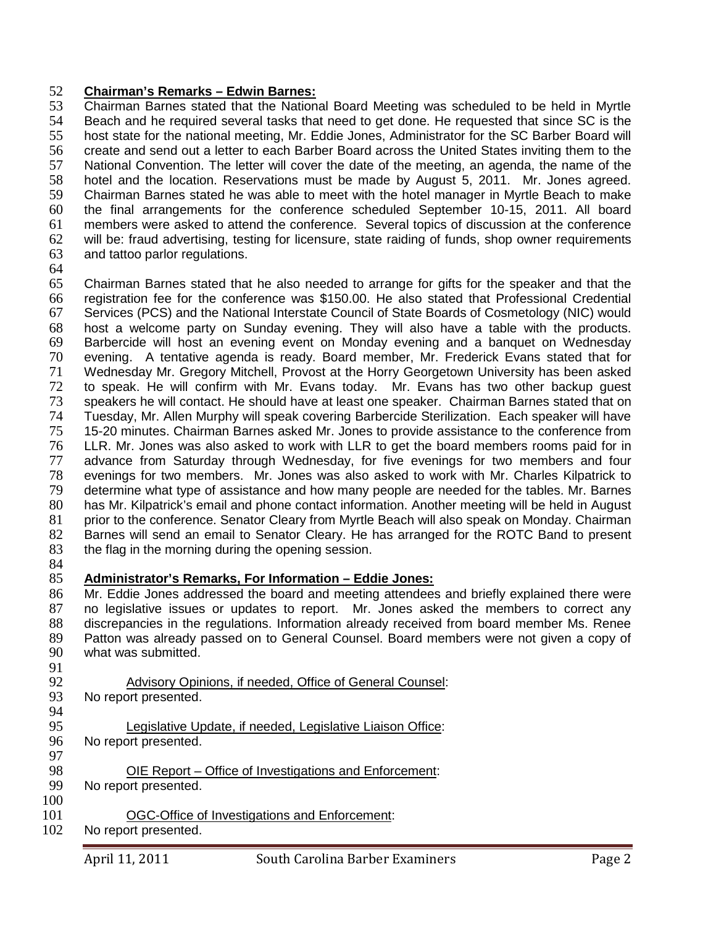### 52 **Chairman's Remarks – Edwin Barnes:**

 Chairman Barnes stated that the National Board Meeting was scheduled to be held in Myrtle 54 Beach and he required several tasks that need to get done. He requested that since SC is the<br>55 bost state for the national meeting. Mr. Eddie Jones. Administrator for the SC Barber Board will host state for the national meeting, Mr. Eddie Jones, Administrator for the SC Barber Board will create and send out a letter to each Barber Board across the United States inviting them to the National Convention. The letter will cover the date of the meeting, an agenda, the name of the hotel and the location. Reservations must be made by August 5, 2011. Mr. Jones agreed. Chairman Barnes stated he was able to meet with the hotel manager in Myrtle Beach to make the final arrangements for the conference scheduled September 10-15, 2011. All board 61 members were asked to attend the conference. Several topics of discussion at the conference<br>62 will be: fraud advertising, testing for licensure, state raiding of funds, shop owner requirements will be: fraud advertising, testing for licensure, state raiding of funds, shop owner requirements and tattoo parlor regulations.

64

65 Chairman Barnes stated that he also needed to arrange for gifts for the speaker and that the 66 registration fee for the conference was \$150.00. He also stated that Professional Credential 67 Services (PCS) and the National Interstate Council of State Boards of Cosmetology (NIC) would 68 host a welcome party on Sunday evening. They will also have a table with the products. 69 Barbercide will host an evening event on Monday evening and a banquet on Wednesday<br>70 evening. A tentative agenda is ready. Board member. Mr. Frederick Evans stated that for 70 evening. A tentative agenda is ready. Board member, Mr. Frederick Evans stated that for 71 Wednesday Mr. Gregory Mitchell, Provost at the Horry Georgetown University has been asked<br>72 to speak. He will confirm with Mr. Evans today. Mr. Evans has two other backup quest to speak. He will confirm with Mr. Evans today. Mr. Evans has two other backup quest 73 speakers he will contact. He should have at least one speaker. Chairman Barnes stated that on 74 Tuesday, Mr. Allen Murphy will speak covering Barbercide Sterilization. Each speaker will have 75 15-20 minutes. Chairman Barnes asked Mr. Jones to provide assistance to the conference from 76 LLR. Mr. Jones was also asked to work with LLR to get the board members rooms paid for in<br>77 advance from Saturday through Wednesday, for five evenings for two members and four advance from Saturday through Wednesday, for five evenings for two members and four 78 evenings for two members. Mr. Jones was also asked to work with Mr. Charles Kilpatrick to 79 determine what type of assistance and how many people are needed for the tables. Mr. Barnes 80 has Mr. Kilpatrick's email and phone contact information. Another meeting will be held in August 81 prior to the conference. Senator Cleary from Myrtle Beach will also speak on Monday. Chairman 81 prior to the conference. Senator Cleary from Myrtle Beach will also speak on Monday. Chairman 82 Barnes will send an email to Senator Cleary. He has arranged for the ROTC Band to present 82 Barnes will send an email to Senator Cleary. He has arranged for the ROTC Band to present 83 the flag in the morning during the opening session. the flag in the morning during the opening session.

84<br>85

### 85 **Administrator's Remarks, For Information – Eddie Jones:**

86 Mr. Eddie Jones addressed the board and meeting attendees and briefly explained there were 87 no legislative issues or updates to report. Mr. Jones asked the members to correct any 88 discrepancies in the regulations. Information already received from board member Ms. Renee 89 Patton was already passed on to General Counsel. Board members were not given a copy of 90 what was submitted. what was submitted.

- 91<br>92
- 92 Advisory Opinions, if needed, Office of General Counsel:<br>93 No report presented.
- No report presented.
- 94<br>95 Legislative Update, if needed, Legislative Liaison Office:
- 96 No report presented. 97<br>98
- 98 <u>OIE Report Office of Investigations and Enforcement</u>:<br>99 No report presented.
- No report presented.
- 100
- 101 OGC-Office of Investigations and Enforcement:
- 102 No report presented.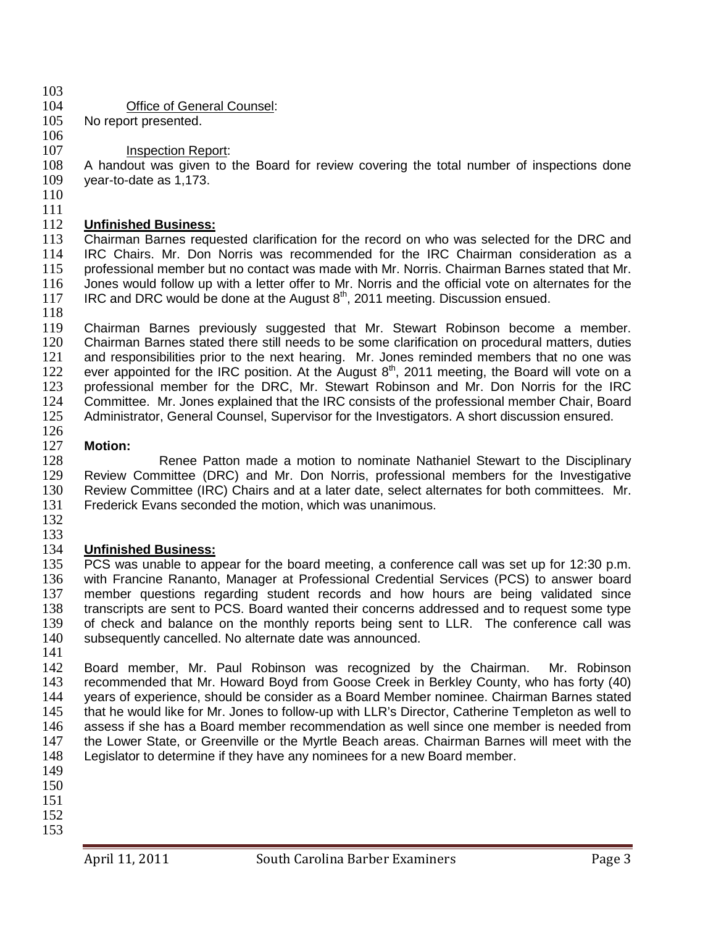- $\frac{103}{104}$
- 104 **Office of General Counsel:**<br>105 No report presented.
- No report presented. 106

### 107 **Inspection Report:**

108 A handout was given to the Board for review covering the total number of inspections done 109 year-to-date as 1,173. year-to-date as 1,173.

- 110
- $\frac{111}{112}$

### 112 **Unfinished Business:**

Chairman Barnes requested clarification for the record on who was selected for the DRC and 114 IRC Chairs. Mr. Don Norris was recommended for the IRC Chairman consideration as a 115 professional member but no contact was made with Mr. Norris. Chairman Barnes stated that Mr. 116 Jones would follow up with a letter offer to Mr. Norris and the official vote on alternates for the 117 IRC and DRC would be done at the August  $8<sup>th</sup>$ , 2011 meeting. Discussion ensued.

118<br>119

119 Chairman Barnes previously suggested that Mr. Stewart Robinson become a member.<br>120 Chairman Barnes stated there still needs to be some clarification on procedural matters. duties 120 Chairman Barnes stated there still needs to be some clarification on procedural matters, duties<br>121 and responsibilities prior to the next hearing. Mr. Jones reminded members that no one was and responsibilities prior to the next hearing. Mr. Jones reminded members that no one was 122 ever appointed for the IRC position. At the August  $8<sup>th</sup>$ , 2011 meeting, the Board will vote on a 123 professional member for the DRC. Mr. Stewart Robinson and Mr. Don Norris for the IRC professional member for the DRC, Mr. Stewart Robinson and Mr. Don Norris for the IRC 124 Committee. Mr. Jones explained that the IRC consists of the professional member Chair, Board 125 Administrator, General Counsel, Supervisor for the Investigators. A short discussion ensured.

126<br>127

127 **Motion:** 128 **Renee Patton made a motion to nominate Nathaniel Stewart to the Disciplinary**<br>129 Review Committee (DRC) and Mr. Don Norris, professional members for the Investigative Review Committee (DRC) and Mr. Don Norris, professional members for the Investigative 130 Review Committee (IRC) Chairs and at a later date, select alternates for both committees. Mr. 131 Frederick Evans seconded the motion, which was unanimous.

132

### $\frac{133}{134}$ 134 **Unfinished Business:**

135 PCS was unable to appear for the board meeting, a conference call was set up for 12:30 p.m.<br>136 with Francine Rananto, Manager at Professional Credential Services (PCS) to answer board with Francine Rananto, Manager at Professional Credential Services (PCS) to answer board member questions regarding student records and how hours are being validated since transcripts are sent to PCS. Board wanted their concerns addressed and to request some type of check and balance on the monthly reports being sent to LLR. The conference call was subsequently cancelled. No alternate date was announced.

141<br>142

142 Board member, Mr. Paul Robinson was recognized by the Chairman. Mr. Robinson<br>143 recommended that Mr. Howard Bovd from Goose Creek in Berkley County, who has forty (40) recommended that Mr. Howard Boyd from Goose Creek in Berkley County, who has forty (40) years of experience, should be consider as a Board Member nominee. Chairman Barnes stated that he would like for Mr. Jones to follow-up with LLR's Director, Catherine Templeton as well to assess if she has a Board member recommendation as well since one member is needed from the Lower State, or Greenville or the Myrtle Beach areas. Chairman Barnes will meet with the Legislator to determine if they have any nominees for a new Board member.

- 149 150
- 151
- 152
- 153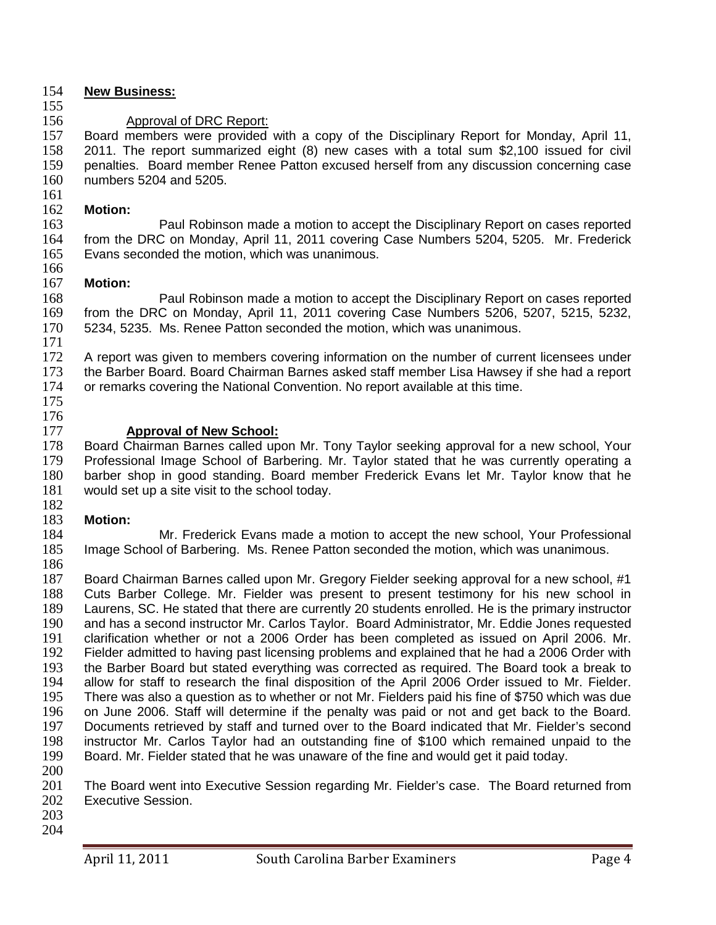### 154 **New Business:**

155

# 156 **Approval of DRC Report:**<br>157 Board members were provided

Board members were provided with a copy of the Disciplinary Report for Monday, April 11, 158 2011. The report summarized eight (8) new cases with a total sum \$2,100 issued for civil 159 penalties. Board member Renee Patton excused herself from any discussion concerning case<br>160 numbers 5204 and 5205. numbers 5204 and 5205.

### $\frac{161}{162}$

162 **Motion:** 163 **Paul Robinson made a motion to accept the Disciplinary Report on cases reported**<br>164 **from the DRC on Monday, April 11, 2011 covering Case Numbers 5204, 5205. Mr. Frederick** from the DRC on Monday, April 11, 2011 covering Case Numbers 5204, 5205. Mr. Frederick 165 Evans seconded the motion, which was unanimous.

### 166<br>167 **Motion:**

168 Paul Robinson made a motion to accept the Disciplinary Report on cases reported 169 from the DRC on Monday, April 11, 2011 covering Case Numbers 5206, 5207, 5215, 5232, 170 5234, 5235. Ms. Renee Patton seconded the motion, which was unanimous. 5234, 5235. Ms. Renee Patton seconded the motion, which was unanimous.

 $\frac{171}{172}$ A report was given to members covering information on the number of current licensees under 173 the Barber Board. Board Chairman Barnes asked staff member Lisa Hawsey if she had a report 174 or remarks covering the National Convention. No report available at this time.

175 176<br>177

177 **Approval of New School:**<br>178 Board Chairman Barnes called up 178 Board Chairman Barnes called upon Mr. Tony Taylor seeking approval for a new school, Your<br>179 Professional Image School of Barbering. Mr. Taylor stated that he was currently operating a Professional Image School of Barbering. Mr. Taylor stated that he was currently operating a 180 barber shop in good standing. Board member Frederick Evans let Mr. Taylor know that he 181 would set up a site visit to the school today.

## 182<br>183

183 **Motion:** 184 Mr. Frederick Evans made a motion to accept the new school, Your Professional<br>185 Image School of Barbering. Ms. Renee Patton seconded the motion, which was unanimous. Image School of Barbering. Ms. Renee Patton seconded the motion, which was unanimous.

186<br>187

Board Chairman Barnes called upon Mr. Gregory Fielder seeking approval for a new school, #1 188 Cuts Barber College. Mr. Fielder was present to present testimony for his new school in 189 Laurens, SC. He stated that there are currently 20 students enrolled. He is the primary instructor<br>190 and has a second instructor Mr. Carlos Tavlor. Board Administrator. Mr. Eddie Jones requested and has a second instructor Mr. Carlos Taylor. Board Administrator, Mr. Eddie Jones requested 191 clarification whether or not a 2006 Order has been completed as issued on April 2006. Mr.<br>192 Fielder admitted to having past licensing problems and explained that he had a 2006 Order with 192 Fielder admitted to having past licensing problems and explained that he had a 2006 Order with<br>193 the Barber Board but stated everything was corrected as required. The Board took a break to 193 the Barber Board but stated everything was corrected as required. The Board took a break to 194 allow for staff to research the final disposition of the April 2006 Order issued to Mr. Fielder. allow for staff to research the final disposition of the April 2006 Order issued to Mr. Fielder. 195 There was also a question as to whether or not Mr. Fielders paid his fine of \$750 which was due 196 on June 2006. Staff will determine if the penalty was paid or not and get back to the Board.<br>197 Documents retrieved by staff and turned over to the Board indicated that Mr. Fielder's second Documents retrieved by staff and turned over to the Board indicated that Mr. Fielder's second 198 instructor Mr. Carlos Taylor had an outstanding fine of \$100 which remained unpaid to the 199 Board. Mr. Fielder stated that he was unaware of the fine and would get it paid today. Board. Mr. Fielder stated that he was unaware of the fine and would get it paid today.

200 201 The Board went into Executive Session regarding Mr. Fielder's case. The Board returned from 202 Executive Session.

203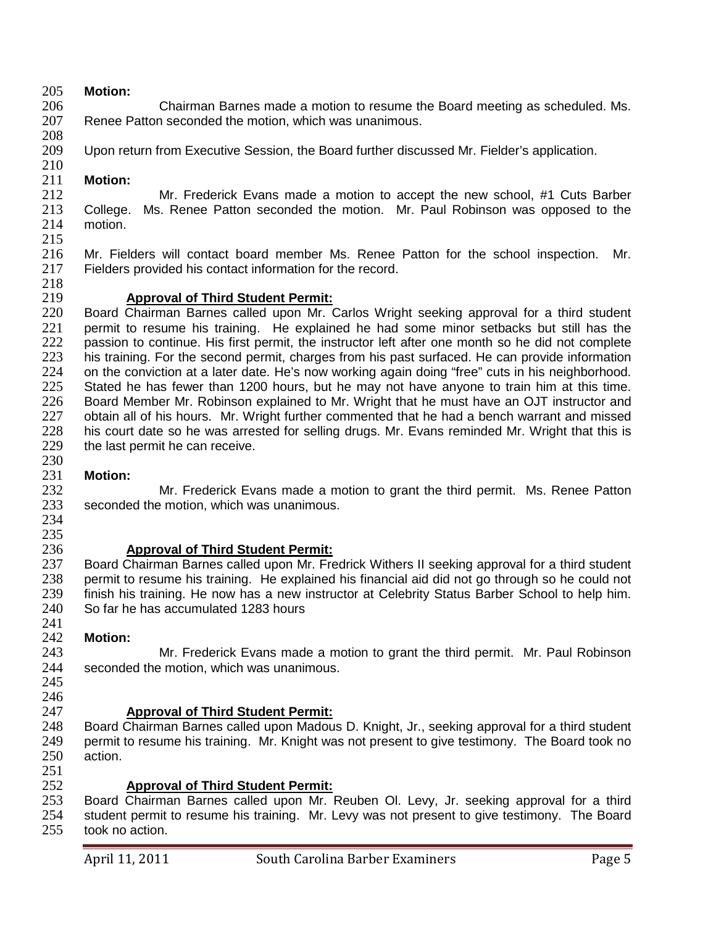## 205 **Motion:**

206 Chairman Barnes made a motion to resume the Board meeting as scheduled. Ms.<br>207 Renee Patton seconded the motion. which was unanimous. Renee Patton seconded the motion, which was unanimous.

- 208 Upon return from Executive Session, the Board further discussed Mr. Fielder's application.
- $\frac{210}{211}$ **Motion:**

212 Mr. Frederick Evans made a motion to accept the new school, #1 Cuts Barber<br>213 College. Ms. Renee Patton seconded the motion. Mr. Paul Robinson was opposed to the 213 College. Ms. Renee Patton seconded the motion. Mr. Paul Robinson was opposed to the 214 motion. motion. 215

- 216 Mr. Fielders will contact board member Ms. Renee Patton for the school inspection. Mr.<br>217 Fielders provided his contact information for the record. Fielders provided his contact information for the record. 218<br>219
	- 219 **Approval of Third Student Permit:**

220 Board Chairman Barnes called upon Mr. Carlos Wright seeking approval for a third student 221 permit to resume his training. He explained he had some minor setbacks but still has the 221 permit to resume his training. He explained he had some minor setbacks but still has the 222 passion to continue. His first permit, the instructor left after one month so he did not complete 222 passion to continue. His first permit, the instructor left after one month so he did not complete<br>223 bis training. For the second permit, charges from his past surfaced. He can provide information his training. For the second permit, charges from his past surfaced. He can provide information 224 on the conviction at a later date. He's now working again doing "free" cuts in his neighborhood. 225 Stated he has fewer than 1200 hours, but he may not have anyone to train him at this time. 226 Board Member Mr. Robinson explained to Mr. Wright that he must have an OJT instructor and 227 obtain all of his hours. Mr. Wright further commented that he had a bench warrant and missed<br>228 his court date so he was arrested for selling drugs. Mr. Evans reminded Mr. Wright that this is 228 his court date so he was arrested for selling drugs. Mr. Evans reminded Mr. Wright that this is 229 the last permit he can receive. the last permit he can receive.

# 230<br>231

231 **Motion:** 232 Mr. Frederick Evans made a motion to grant the third permit. Ms. Renee Patton<br>233 seconded the motion. which was unanimous. seconded the motion, which was unanimous.

234 235<br>236

236 **Approval of Third Student Permit:** 237 Board Chairman Barnes called upon Mr. Fredrick Withers II seeking approval for a third student 238 permit to resume his training. He explained his financial aid did not go through so he could not 238 permit to resume his training. He explained his financial aid did not go through so he could not 239 finish his training. He now has a new instructor at Celebrity Status Barber School to help him. finish his training. He now has a new instructor at Celebrity Status Barber School to help him. 240 So far he has accumulated 1283 hours

# 241<br>242

242 **Motion:** 243 Mr. Frederick Evans made a motion to grant the third permit. Mr. Paul Robinson<br>244 seconded the motion, which was unanimous. seconded the motion, which was unanimous.

245 246

247 **Approval of Third Student Permit:** Board Chairman Barnes called upon Madous D. Knight, Jr., seeking approval for a third student 249 permit to resume his training. Mr. Knight was not present to give testimony. The Board took no 250 action. action.

251<br>252

 **Approval of Third Student Permit:** Board Chairman Barnes called upon Mr. Reuben Ol. Levy, Jr. seeking approval for a third student permit to resume his training. Mr. Levy was not present to give testimony. The Board took no action.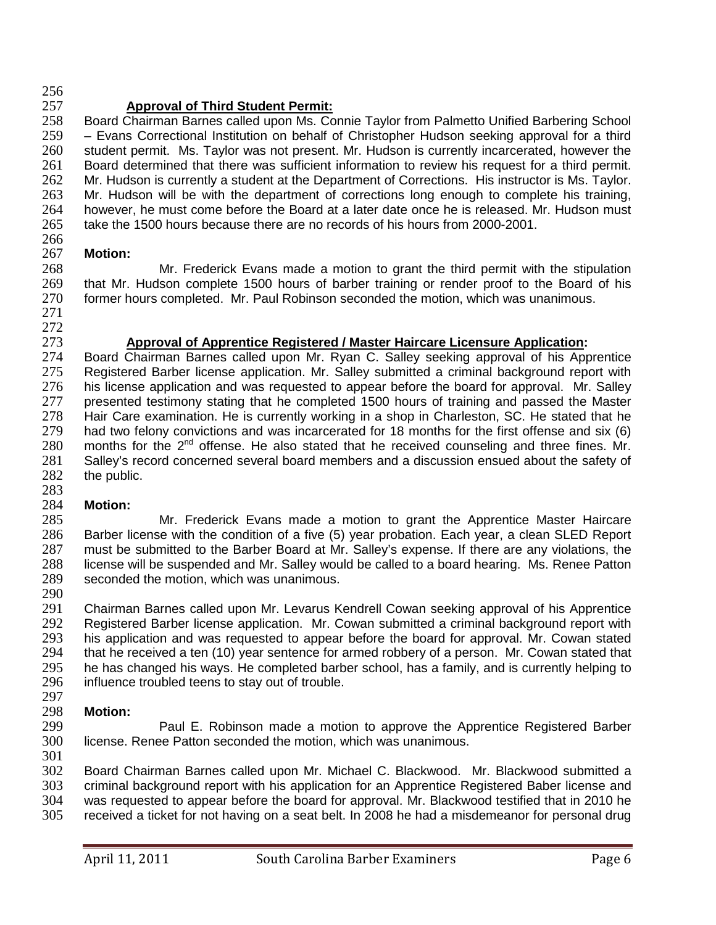256<br>257

257 **Approval of Third Student Permit:** 258 Board Chairman Barnes called upon Ms. Connie Taylor from Palmetto Unified Barbering School<br>259 – Evans Correctional Institution on behalf of Christopher Hudson seeking approval for a third  $-$  Evans Correctional Institution on behalf of Christopher Hudson seeking approval for a third 260 student permit. Ms. Taylor was not present. Mr. Hudson is currently incarcerated, however the 261 Board determined that there was sufficient information to review his request for a third permit. 262 Mr. Hudson is currently a student at the Department of Corrections. His instructor is Ms. Taylor. 263 Mr. Hudson will be with the department of corrections long enough to complete his training,<br>264 however, he must come before the Board at a later date once he is released. Mr. Hudson must 264 however, he must come before the Board at a later date once he is released. Mr. Hudson must 265 take the 1500 hours because there are no records of his hours from 2000-2001. take the 1500 hours because there are no records of his hours from 2000-2001. 266

### 267 **Motion:**

268 Mr. Frederick Evans made a motion to grant the third permit with the stipulation<br>269 that Mr. Hudson complete 1500 hours of barber training or render proof to the Board of his 269 that Mr. Hudson complete 1500 hours of barber training or render proof to the Board of his 270 former hours completed. Mr. Paul Robinson seconded the motion, which was unanimous. former hours completed. Mr. Paul Robinson seconded the motion, which was unanimous.

271

272<br>273

## 273 **Approval of Apprentice Registered / Master Haircare Licensure Application:**

Board Chairman Barnes called upon Mr. Ryan C. Salley seeking approval of his Apprentice 275 Registered Barber license application. Mr. Salley submitted a criminal background report with 276 his license application and was requested to appear before the board for approval. Mr. Salley 277 presented testimony stating that he completed 1500 hours of training and passed the Master 278 Hair Care examination. He is currently working in a shop in Charleston, SC. He stated that he<br>279 had two felony convictions and was incarcerated for 18 months for the first offense and six (6) 279 had two felony convictions and was incarcerated for 18 months for the first offense and six (6)<br>280 months for the  $2<sup>nd</sup>$  offense. He also stated that he received counseling and three fines. Mr. 280 months for the  $2^{nd}$  offense. He also stated that he received counseling and three fines. Mr.<br>281 Salley's record concerned several board members and a discussion ensued about the safety of Salley's record concerned several board members and a discussion ensued about the safety of 282 the public.

283<br>284

284 **Motion:** Mr. Frederick Evans made a motion to grant the Apprentice Master Haircare 286 Barber license with the condition of a five (5) year probation. Each year, a clean SLED Report 287 must be submitted to the Barber Board at Mr. Salley's expense. If there are any violations, the 287 must be submitted to the Barber Board at Mr. Salley's expense. If there are any violations, the 288 license will be suspended and Mr. Salley would be called to a board hearing. Ms. Renee Patton 288 license will be suspended and Mr. Salley would be called to a board hearing. Ms. Renee Patton 289 seconded the motion, which was unanimous. seconded the motion, which was unanimous.

290

291 Chairman Barnes called upon Mr. Levarus Kendrell Cowan seeking approval of his Apprentice<br>292 Registered Barber license application. Mr. Cowan submitted a criminal background report with 292 Registered Barber license application. Mr. Cowan submitted a criminal background report with<br>293 his application and was requested to appear before the board for approval. Mr. Cowan stated 293 his application and was requested to appear before the board for approval. Mr. Cowan stated<br>294 that he received a ten (10) year sentence for armed robbery of a person. Mr. Cowan stated that 294 that he received a ten (10) year sentence for armed robbery of a person. Mr. Cowan stated that 295 he has changed his ways. He completed barber school, has a family, and is currently helping to 295 he has changed his ways. He completed barber school, has a family, and is currently helping to 296 influence troubled teens to stay out of trouble. influence troubled teens to stay out of trouble.

# 297<br>298

298 **Motion:** Paul E. Robinson made a motion to approve the Apprentice Registered Barber 300 license. Renee Patton seconded the motion, which was unanimous.

301<br>302

302 Board Chairman Barnes called upon Mr. Michael C. Blackwood. Mr. Blackwood submitted a<br>303 criminal background report with his application for an Apprentice Registered Baber license and criminal background report with his application for an Apprentice Registered Baber license and was requested to appear before the board for approval. Mr. Blackwood testified that in 2010 he received a ticket for not having on a seat belt. In 2008 he had a misdemeanor for personal drug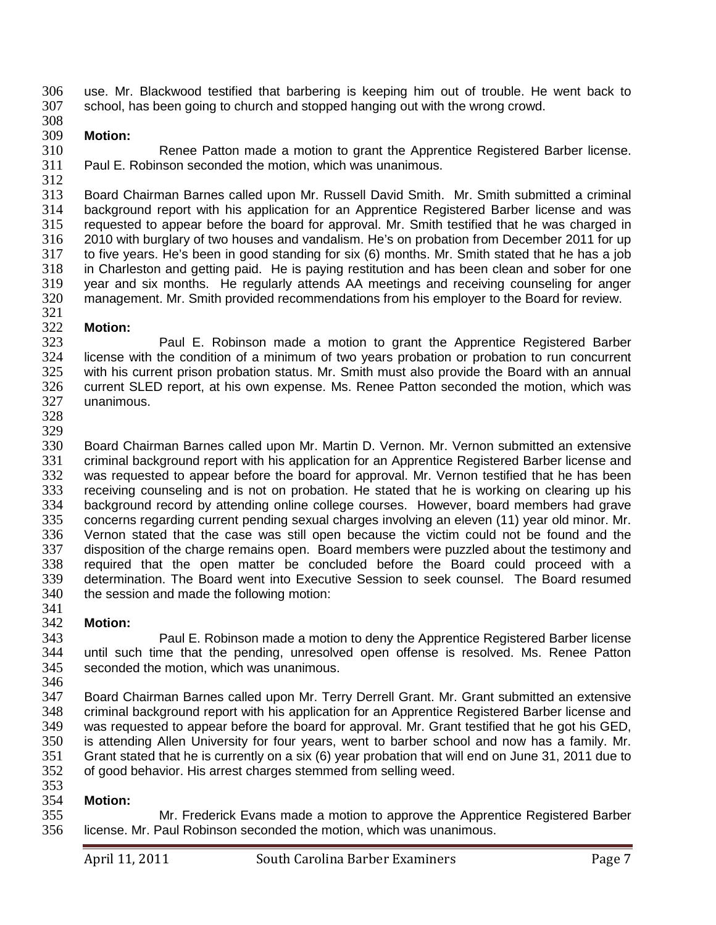306 use. Mr. Blackwood testified that barbering is keeping him out of trouble. He went back to 307 school. has been going to church and stopped hanging out with the wrong crowd. school, has been going to church and stopped hanging out with the wrong crowd.

### 308<br>309 **Motion:**

310 Renee Patton made a motion to grant the Apprentice Registered Barber license. 311 Paul E. Robinson seconded the motion, which was unanimous. 312

313 Board Chairman Barnes called upon Mr. Russell David Smith. Mr. Smith submitted a criminal<br>314 background report with his application for an Apprentice Registered Barber license and was 314 background report with his application for an Apprentice Registered Barber license and was 315 requested to appear before the board for approval. Mr. Smith testified that he was charged in 315 requested to appear before the board for approval. Mr. Smith testified that he was charged in<br>316 2010 with burglary of two houses and vandalism. He's on probation from December 2011 for up 316 2010 with burglary of two houses and vandalism. He's on probation from December 2011 for up 317 to five years. He's been in good standing for six (6) months. Mr. Smith stated that he has a job 318 in Charleston and getting paid. He is paying restitution and has been clean and sober for one<br>319 vear and six months. He regularly attends AA meetings and receiving counseling for anger 319 year and six months. He regularly attends AA meetings and receiving counseling for anger<br>320 management. Mr. Smith provided recommendations from his emplover to the Board for review. management. Mr. Smith provided recommendations from his employer to the Board for review.

## 321<br>322

322 **Motion:** Paul E. Robinson made a motion to grant the Apprentice Registered Barber license with the condition of a minimum of two years probation or probation to run concurrent with his current prison probation status. Mr. Smith must also provide the Board with an annual current SLED report, at his own expense. Ms. Renee Patton seconded the motion, which was unanimous.

328

329<br>330 330 Board Chairman Barnes called upon Mr. Martin D. Vernon. Mr. Vernon submitted an extensive<br>331 criminal background report with his application for an Apprentice Registered Barber license and criminal background report with his application for an Apprentice Registered Barber license and 332 was requested to appear before the board for approval. Mr. Vernon testified that he has been 333 receiving counseling and is not on probation. He stated that he is working on clearing up his<br>334 background record by attending online college courses. However, board members had grave 334 background record by attending online college courses. However, board members had grave<br>335 concerns regarding current pending sexual charges involving an eleven (11) year old minor. Mr. concerns regarding current pending sexual charges involving an eleven (11) year old minor. Mr. 336 Vernon stated that the case was still open because the victim could not be found and the 337 disposition of the charge remains open. Board members were puzzled about the testimony and 337 disposition of the charge remains open. Board members were puzzled about the testimony and<br>338 required that the open matter be concluded before the Board could proceed with a 338 required that the open matter be concluded before the Board could proceed with a<br>339 determination. The Board went into Executive Session to seek counsel. The Board resumed determination. The Board went into Executive Session to seek counsel. The Board resumed 340 the session and made the following motion:

341<br>342

342 **Motion:** 343 Paul E. Robinson made a motion to deny the Apprentice Registered Barber license 344 until such time that the pending, unresolved open offense is resolved. Ms. Renee Patton<br>345 seconded the motion, which was unanimous. seconded the motion, which was unanimous.

346

347 Board Chairman Barnes called upon Mr. Terry Derrell Grant. Mr. Grant submitted an extensive 348 criminal background report with his application for an Apprentice Registered Barber license and<br>349 was requested to appear before the board for approval. Mr. Grant testified that he got his GED, was requested to appear before the board for approval. Mr. Grant testified that he got his GED, 350 is attending Allen University for four years, went to barber school and now has a family. Mr. 351 Grant stated that he is currently on a six (6) year probation that will end on June 31, 2011 due to of good behavior. His arrest charges stemmed from selling weed. 353

354 **Motion:** Mr. Frederick Evans made a motion to approve the Apprentice Registered Barber 356 license. Mr. Paul Robinson seconded the motion, which was unanimous.